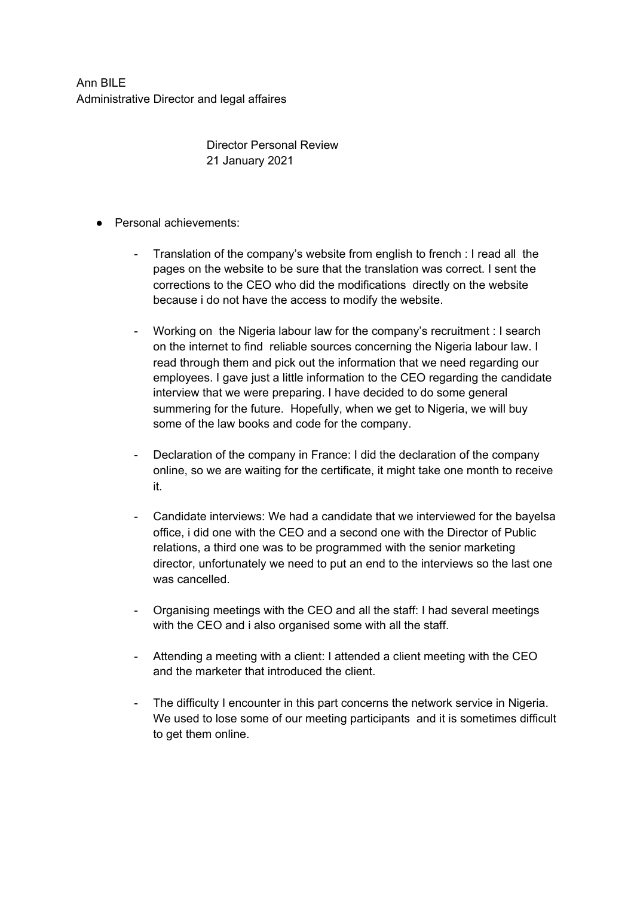Ann BILE Administrative Director and legal affaires

> Director Personal Review 21 January 2021

- Personal achievements:
	- Translation of the company's website from english to french : I read all the pages on the website to be sure that the translation was correct. I sent the corrections to the CEO who did the modifications directly on the website because i do not have the access to modify the website.
	- Working on the Nigeria labour law for the company's recruitment : I search on the internet to find reliable sources concerning the Nigeria labour law. I read through them and pick out the information that we need regarding our employees. I gave just a little information to the CEO regarding the candidate interview that we were preparing. I have decided to do some general summering for the future. Hopefully, when we get to Nigeria, we will buy some of the law books and code for the company.
	- Declaration of the company in France: I did the declaration of the company online, so we are waiting for the certificate, it might take one month to receive it.
	- Candidate interviews: We had a candidate that we interviewed for the bayelsa office, i did one with the CEO and a second one with the Director of Public relations, a third one was to be programmed with the senior marketing director, unfortunately we need to put an end to the interviews so the last one was cancelled.
	- Organising meetings with the CEO and all the staff: I had several meetings with the CEO and i also organised some with all the staff.
	- Attending a meeting with a client: I attended a client meeting with the CEO and the marketer that introduced the client.
	- The difficulty I encounter in this part concerns the network service in Nigeria. We used to lose some of our meeting participants and it is sometimes difficult to get them online.